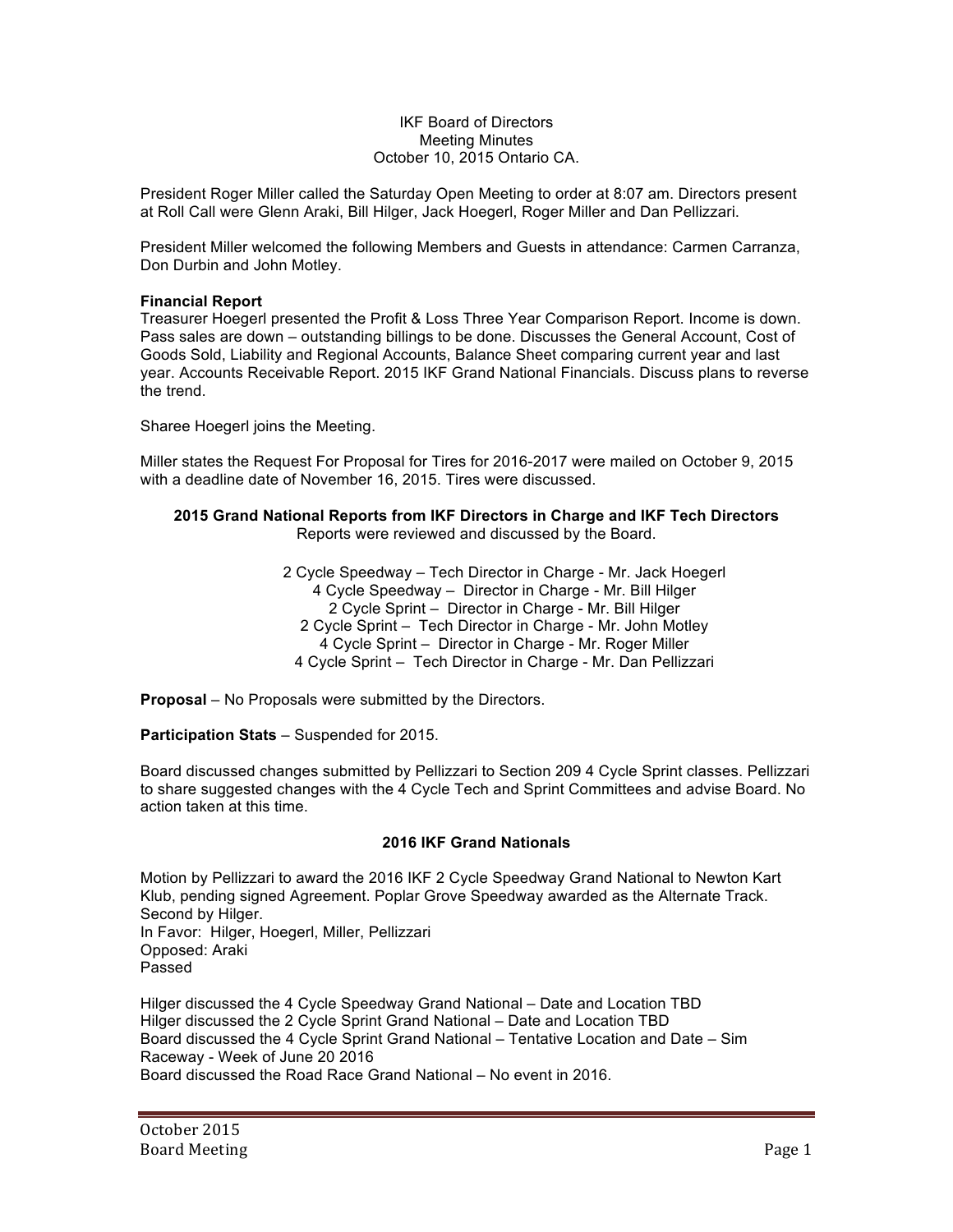# IKF Board of Directors Meeting Minutes October 10, 2015 Ontario CA.

President Roger Miller called the Saturday Open Meeting to order at 8:07 am. Directors present at Roll Call were Glenn Araki, Bill Hilger, Jack Hoegerl, Roger Miller and Dan Pellizzari.

President Miller welcomed the following Members and Guests in attendance: Carmen Carranza, Don Durbin and John Motley.

# **Financial Report**

Treasurer Hoegerl presented the Profit & Loss Three Year Comparison Report. Income is down. Pass sales are down – outstanding billings to be done. Discusses the General Account, Cost of Goods Sold, Liability and Regional Accounts, Balance Sheet comparing current year and last year. Accounts Receivable Report. 2015 IKF Grand National Financials. Discuss plans to reverse the trend.

Sharee Hoegerl joins the Meeting.

Miller states the Request For Proposal for Tires for 2016-2017 were mailed on October 9, 2015 with a deadline date of November 16, 2015. Tires were discussed.

# **2015 Grand National Reports from IKF Directors in Charge and IKF Tech Directors** Reports were reviewed and discussed by the Board.

2 Cycle Speedway – Tech Director in Charge - Mr. Jack Hoegerl 4 Cycle Speedway – Director in Charge - Mr. Bill Hilger 2 Cycle Sprint – Director in Charge - Mr. Bill Hilger 2 Cycle Sprint – Tech Director in Charge - Mr. John Motley 4 Cycle Sprint – Director in Charge - Mr. Roger Miller 4 Cycle Sprint – Tech Director in Charge - Mr. Dan Pellizzari

**Proposal** – No Proposals were submitted by the Directors.

**Participation Stats** – Suspended for 2015.

Board discussed changes submitted by Pellizzari to Section 209 4 Cycle Sprint classes. Pellizzari to share suggested changes with the 4 Cycle Tech and Sprint Committees and advise Board. No action taken at this time.

# **2016 IKF Grand Nationals**

Motion by Pellizzari to award the 2016 IKF 2 Cycle Speedway Grand National to Newton Kart Klub, pending signed Agreement. Poplar Grove Speedway awarded as the Alternate Track. Second by Hilger. In Favor: Hilger, Hoegerl, Miller, Pellizzari Opposed: Araki Passed

Hilger discussed the 4 Cycle Speedway Grand National – Date and Location TBD Hilger discussed the 2 Cycle Sprint Grand National – Date and Location TBD Board discussed the 4 Cycle Sprint Grand National – Tentative Location and Date – Sim Raceway - Week of June 20 2016 Board discussed the Road Race Grand National – No event in 2016.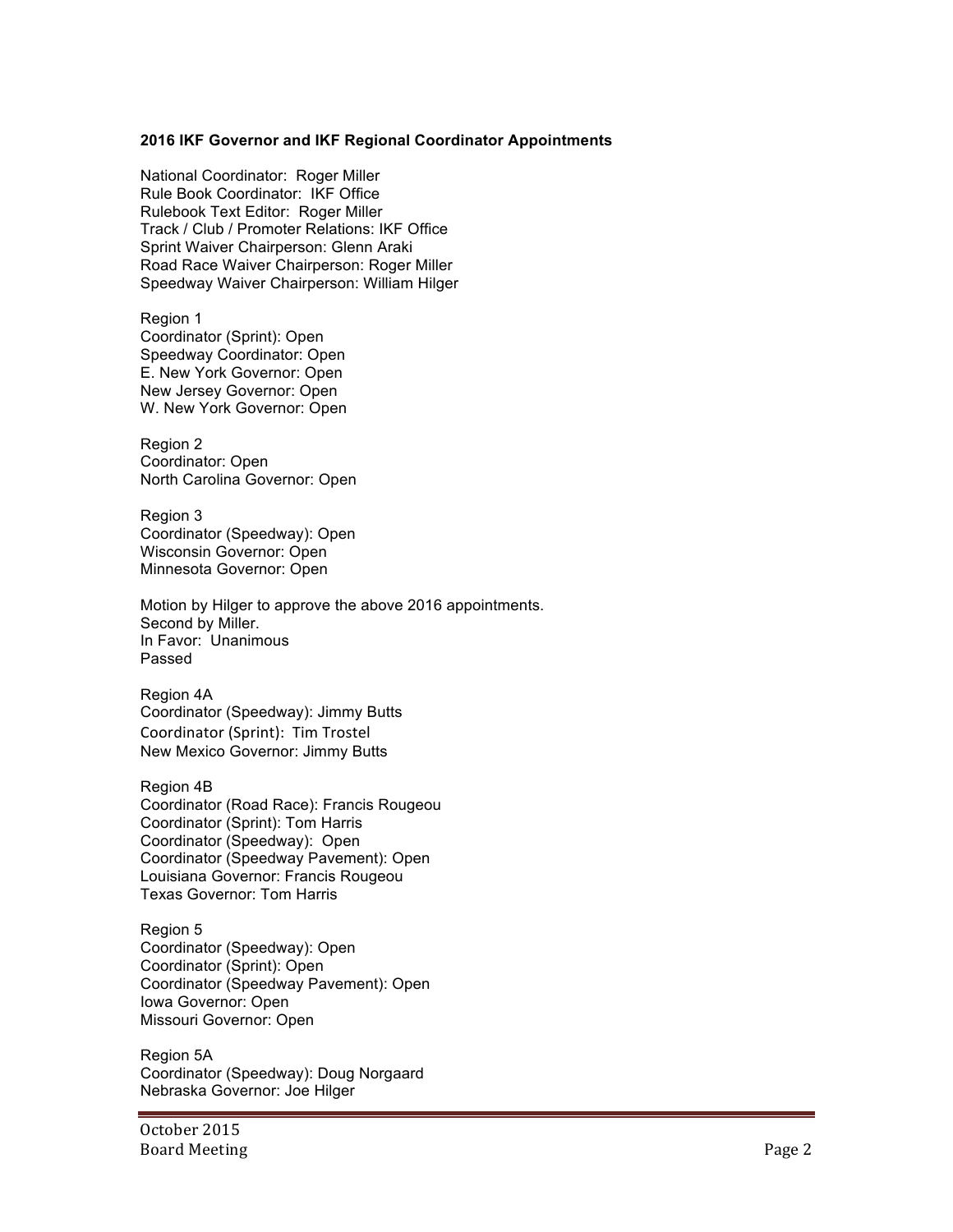# **2016 IKF Governor and IKF Regional Coordinator Appointments**

National Coordinator: Roger Miller Rule Book Coordinator: IKF Office Rulebook Text Editor: Roger Miller Track / Club / Promoter Relations: IKF Office Sprint Waiver Chairperson: Glenn Araki Road Race Waiver Chairperson: Roger Miller Speedway Waiver Chairperson: William Hilger

Region 1 Coordinator (Sprint): Open Speedway Coordinator: Open E. New York Governor: Open New Jersey Governor: Open W. New York Governor: Open

Region 2 Coordinator: Open North Carolina Governor: Open

Region 3 Coordinator (Speedway): Open Wisconsin Governor: Open Minnesota Governor: Open

Motion by Hilger to approve the above 2016 appointments. Second by Miller. In Favor: Unanimous Passed

Region 4A Coordinator (Speedway): Jimmy Butts Coordinator (Sprint): Tim Trostel New Mexico Governor: Jimmy Butts

Region 4B Coordinator (Road Race): Francis Rougeou Coordinator (Sprint): Tom Harris Coordinator (Speedway): Open Coordinator (Speedway Pavement): Open Louisiana Governor: Francis Rougeou Texas Governor: Tom Harris

Region 5 Coordinator (Speedway): Open Coordinator (Sprint): Open Coordinator (Speedway Pavement): Open Iowa Governor: Open Missouri Governor: Open

Region 5A Coordinator (Speedway): Doug Norgaard Nebraska Governor: Joe Hilger

October 2015 Board Meeting Page 2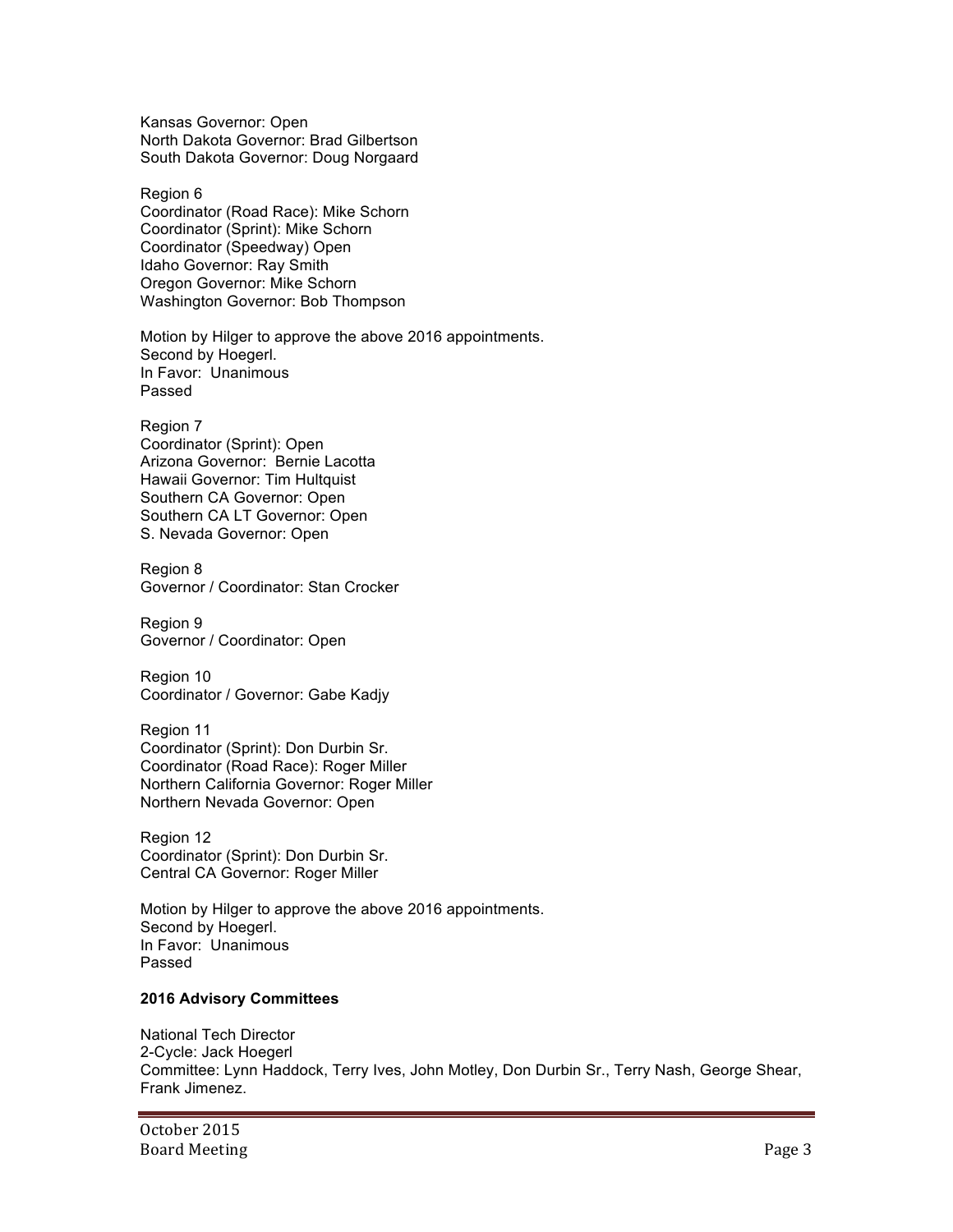Kansas Governor: Open North Dakota Governor: Brad Gilbertson South Dakota Governor: Doug Norgaard

Region 6 Coordinator (Road Race): Mike Schorn Coordinator (Sprint): Mike Schorn Coordinator (Speedway) Open Idaho Governor: Ray Smith Oregon Governor: Mike Schorn Washington Governor: Bob Thompson

Motion by Hilger to approve the above 2016 appointments. Second by Hoegerl. In Favor: Unanimous Passed

Region 7 Coordinator (Sprint): Open Arizona Governor: Bernie Lacotta Hawaii Governor: Tim Hultquist Southern CA Governor: Open Southern CA LT Governor: Open S. Nevada Governor: Open

Region 8 Governor / Coordinator: Stan Crocker

Region 9 Governor / Coordinator: Open

Region 10 Coordinator / Governor: Gabe Kadjy

Region 11 Coordinator (Sprint): Don Durbin Sr. Coordinator (Road Race): Roger Miller Northern California Governor: Roger Miller Northern Nevada Governor: Open

Region 12 Coordinator (Sprint): Don Durbin Sr. Central CA Governor: Roger Miller

Motion by Hilger to approve the above 2016 appointments. Second by Hoegerl. In Favor: Unanimous Passed

# **2016 Advisory Committees**

National Tech Director 2-Cycle: Jack Hoegerl Committee: Lynn Haddock, Terry Ives, John Motley, Don Durbin Sr., Terry Nash, George Shear, Frank Jimenez.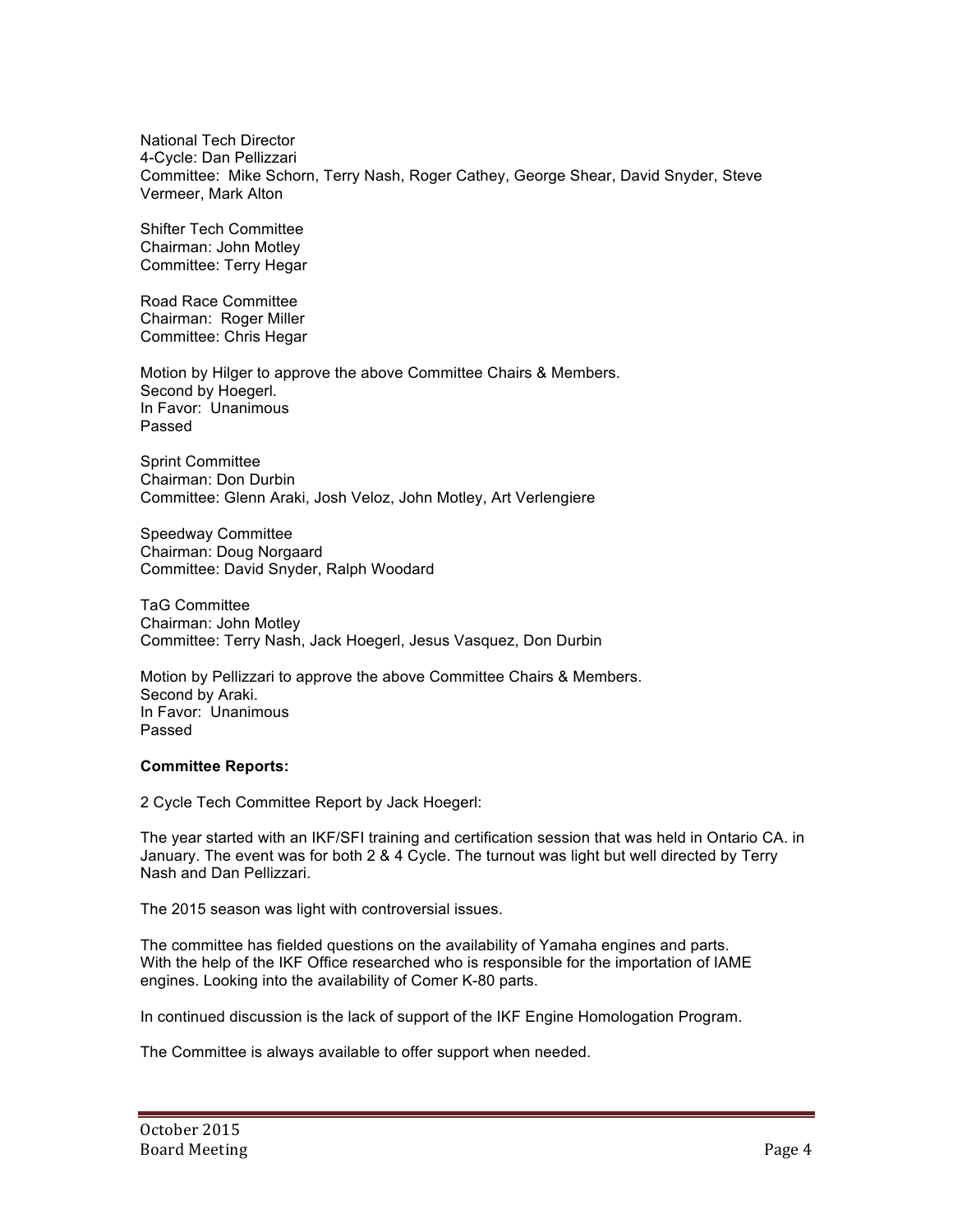National Tech Director 4-Cycle: Dan Pellizzari Committee: Mike Schorn, Terry Nash, Roger Cathey, George Shear, David Snyder, Steve Vermeer, Mark Alton

Shifter Tech Committee Chairman: John Motley Committee: Terry Hegar

Road Race Committee Chairman: Roger Miller Committee: Chris Hegar

Motion by Hilger to approve the above Committee Chairs & Members. Second by Hoegerl. In Favor: Unanimous Passed

Sprint Committee Chairman: Don Durbin Committee: Glenn Araki, Josh Veloz, John Motley, Art Verlengiere

Speedway Committee Chairman: Doug Norgaard Committee: David Snyder, Ralph Woodard

TaG Committee Chairman: John Motley Committee: Terry Nash, Jack Hoegerl, Jesus Vasquez, Don Durbin

Motion by Pellizzari to approve the above Committee Chairs & Members. Second by Araki. In Favor: Unanimous Passed

# **Committee Reports:**

2 Cycle Tech Committee Report by Jack Hoegerl:

The year started with an IKF/SFI training and certification session that was held in Ontario CA. in January. The event was for both 2 & 4 Cycle. The turnout was light but well directed by Terry Nash and Dan Pellizzari.

The 2015 season was light with controversial issues.

The committee has fielded questions on the availability of Yamaha engines and parts. With the help of the IKF Office researched who is responsible for the importation of IAME engines. Looking into the availability of Comer K-80 parts.

In continued discussion is the lack of support of the IKF Engine Homologation Program.

The Committee is always available to offer support when needed.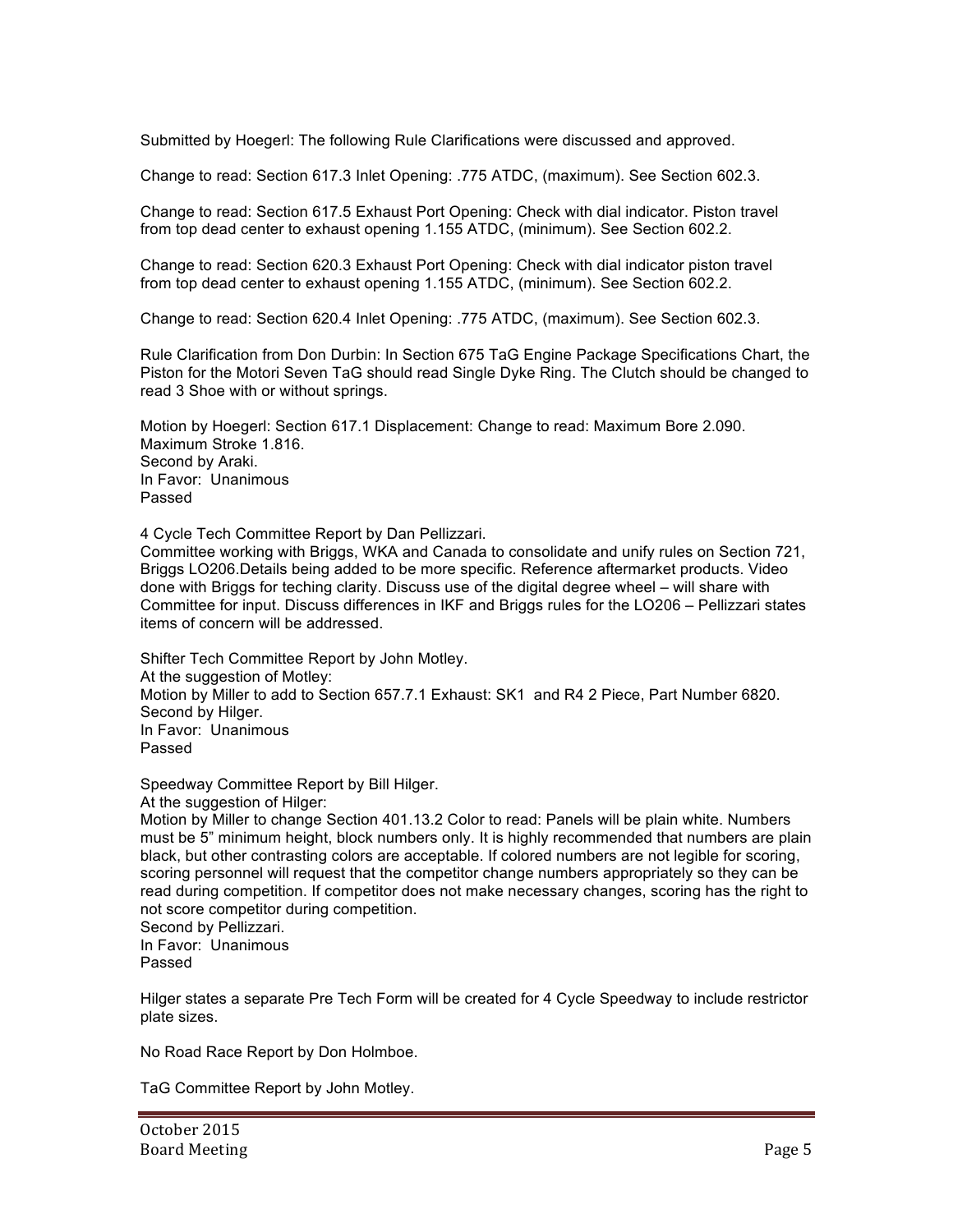Submitted by Hoegerl: The following Rule Clarifications were discussed and approved.

Change to read: Section 617.3 Inlet Opening: .775 ATDC, (maximum). See Section 602.3.

Change to read: Section 617.5 Exhaust Port Opening: Check with dial indicator. Piston travel from top dead center to exhaust opening 1.155 ATDC, (minimum). See Section 602.2.

Change to read: Section 620.3 Exhaust Port Opening: Check with dial indicator piston travel from top dead center to exhaust opening 1.155 ATDC, (minimum). See Section 602.2.

Change to read: Section 620.4 Inlet Opening: .775 ATDC, (maximum). See Section 602.3.

Rule Clarification from Don Durbin: In Section 675 TaG Engine Package Specifications Chart, the Piston for the Motori Seven TaG should read Single Dyke Ring. The Clutch should be changed to read 3 Shoe with or without springs.

Motion by Hoegerl: Section 617.1 Displacement: Change to read: Maximum Bore 2.090. Maximum Stroke 1.816. Second by Araki. In Favor: Unanimous Passed

4 Cycle Tech Committee Report by Dan Pellizzari.

Committee working with Briggs, WKA and Canada to consolidate and unify rules on Section 721, Briggs LO206.Details being added to be more specific. Reference aftermarket products. Video done with Briggs for teching clarity. Discuss use of the digital degree wheel – will share with Committee for input. Discuss differences in IKF and Briggs rules for the LO206 – Pellizzari states items of concern will be addressed.

Shifter Tech Committee Report by John Motley. At the suggestion of Motley: Motion by Miller to add to Section 657.7.1 Exhaust: SK1 and R4 2 Piece, Part Number 6820. Second by Hilger. In Favor: Unanimous Passed

Speedway Committee Report by Bill Hilger.

At the suggestion of Hilger:

Motion by Miller to change Section 401.13.2 Color to read: Panels will be plain white. Numbers must be 5" minimum height, block numbers only. It is highly recommended that numbers are plain black, but other contrasting colors are acceptable. If colored numbers are not legible for scoring, scoring personnel will request that the competitor change numbers appropriately so they can be read during competition. If competitor does not make necessary changes, scoring has the right to not score competitor during competition.

Second by Pellizzari. In Favor: Unanimous Passed

Hilger states a separate Pre Tech Form will be created for 4 Cycle Speedway to include restrictor plate sizes.

No Road Race Report by Don Holmboe.

TaG Committee Report by John Motley.